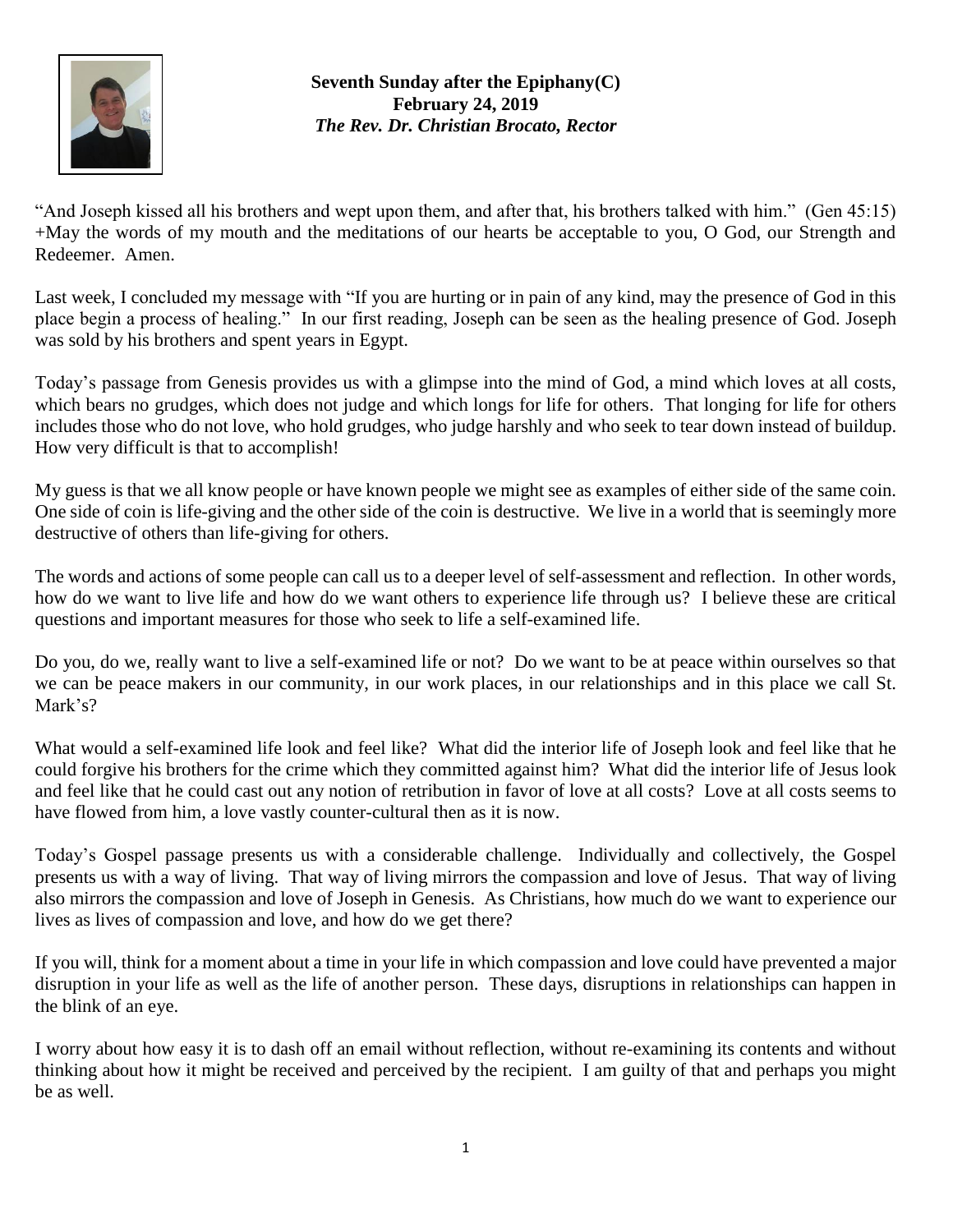

**Seventh Sunday after the Epiphany(C) February 24, 2019** *The Rev. Dr. Christian Brocato, Rector*

"And Joseph kissed all his brothers and wept upon them, and after that, his brothers talked with him." (Gen 45:15) +May the words of my mouth and the meditations of our hearts be acceptable to you, O God, our Strength and Redeemer. Amen.

Last week, I concluded my message with "If you are hurting or in pain of any kind, may the presence of God in this place begin a process of healing." In our first reading, Joseph can be seen as the healing presence of God. Joseph was sold by his brothers and spent years in Egypt.

Today's passage from Genesis provides us with a glimpse into the mind of God, a mind which loves at all costs, which bears no grudges, which does not judge and which longs for life for others. That longing for life for others includes those who do not love, who hold grudges, who judge harshly and who seek to tear down instead of buildup. How very difficult is that to accomplish!

My guess is that we all know people or have known people we might see as examples of either side of the same coin. One side of coin is life-giving and the other side of the coin is destructive. We live in a world that is seemingly more destructive of others than life-giving for others.

The words and actions of some people can call us to a deeper level of self-assessment and reflection. In other words, how do we want to live life and how do we want others to experience life through us? I believe these are critical questions and important measures for those who seek to life a self-examined life.

Do you, do we, really want to live a self-examined life or not? Do we want to be at peace within ourselves so that we can be peace makers in our community, in our work places, in our relationships and in this place we call St. Mark's?

What would a self-examined life look and feel like? What did the interior life of Joseph look and feel like that he could forgive his brothers for the crime which they committed against him? What did the interior life of Jesus look and feel like that he could cast out any notion of retribution in favor of love at all costs? Love at all costs seems to have flowed from him, a love vastly counter-cultural then as it is now.

Today's Gospel passage presents us with a considerable challenge. Individually and collectively, the Gospel presents us with a way of living. That way of living mirrors the compassion and love of Jesus. That way of living also mirrors the compassion and love of Joseph in Genesis. As Christians, how much do we want to experience our lives as lives of compassion and love, and how do we get there?

If you will, think for a moment about a time in your life in which compassion and love could have prevented a major disruption in your life as well as the life of another person. These days, disruptions in relationships can happen in the blink of an eye.

I worry about how easy it is to dash off an email without reflection, without re-examining its contents and without thinking about how it might be received and perceived by the recipient. I am guilty of that and perhaps you might be as well.